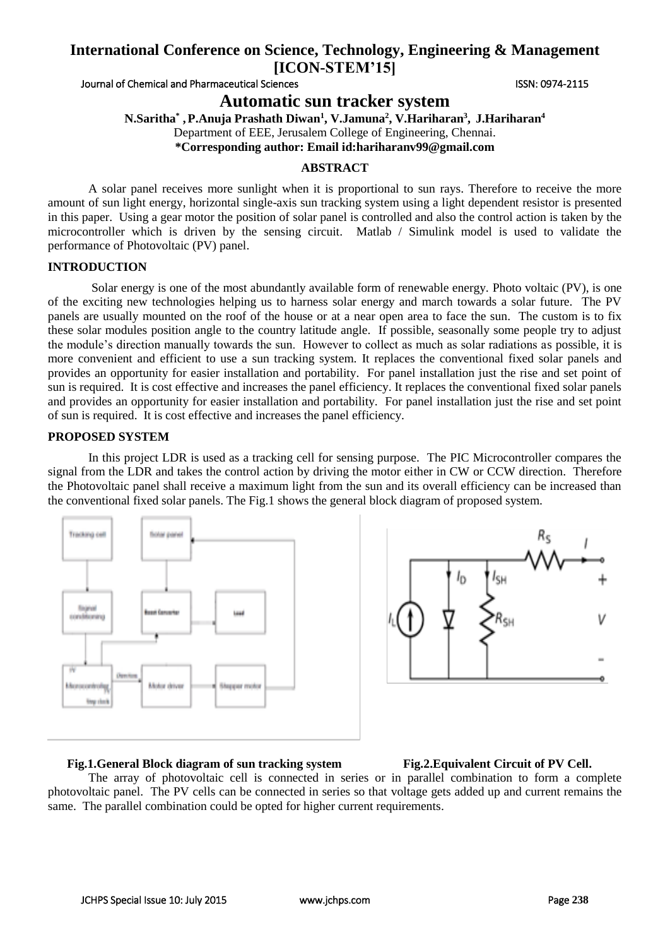Journal of Chemical and Pharmaceutical Sciences **ISSN: 0974-2115** ISSN: 0974-2115

**Automatic sun tracker system**

**N.Saritha\* ,P.Anuja Prashath Diwan<sup>1</sup> , V.Jamuna<sup>2</sup> , V.Hariharan<sup>3</sup> , J.Hariharan<sup>4</sup>**

Department of EEE, Jerusalem College of Engineering, Chennai.

**\*Corresponding author: Email id:hariharanv99@gmail.com**

#### **ABSTRACT**

A solar panel receives more sunlight when it is proportional to sun rays. Therefore to receive the more amount of sun light energy, horizontal single-axis sun tracking system using a light dependent resistor is presented in this paper. Using a gear motor the position of solar panel is controlled and also the control action is taken by the microcontroller which is driven by the sensing circuit. Matlab / Simulink model is used to validate the performance of Photovoltaic (PV) panel.

#### **INTRODUCTION**

Solar energy is one of the most abundantly available form of renewable energy. Photo voltaic (PV), is one of the exciting new technologies helping us to harness solar energy and march towards a solar future. The PV panels are usually mounted on the roof of the house or at a near open area to face the sun. The custom is to fix these solar modules position angle to the country latitude angle. If possible, seasonally some people try to adjust the module's direction manually towards the sun. However to collect as much as solar radiations as possible, it is more convenient and efficient to use a sun tracking system. It replaces the conventional fixed solar panels and provides an opportunity for easier installation and portability. For panel installation just the rise and set point of sun is required. It is cost effective and increases the panel efficiency. It replaces the conventional fixed solar panels and provides an opportunity for easier installation and portability. For panel installation just the rise and set point of sun is required. It is cost effective and increases the panel efficiency.

### **PROPOSED SYSTEM**

In this project LDR is used as a tracking cell for sensing purpose. The PIC Microcontroller compares the signal from the LDR and takes the control action by driving the motor either in CW or CCW direction. Therefore the Photovoltaic panel shall receive a maximum light from the sun and its overall efficiency can be increased than the conventional fixed solar panels. The Fig.1 shows the general block diagram of proposed system.





#### **Fig.1.General Block diagram of sun tracking system Fig.2.Equivalent Circuit of PV Cell.**

The array of photovoltaic cell is connected in series or in parallel combination to form a complete photovoltaic panel. The PV cells can be connected in series so that voltage gets added up and current remains the same. The parallel combination could be opted for higher current requirements.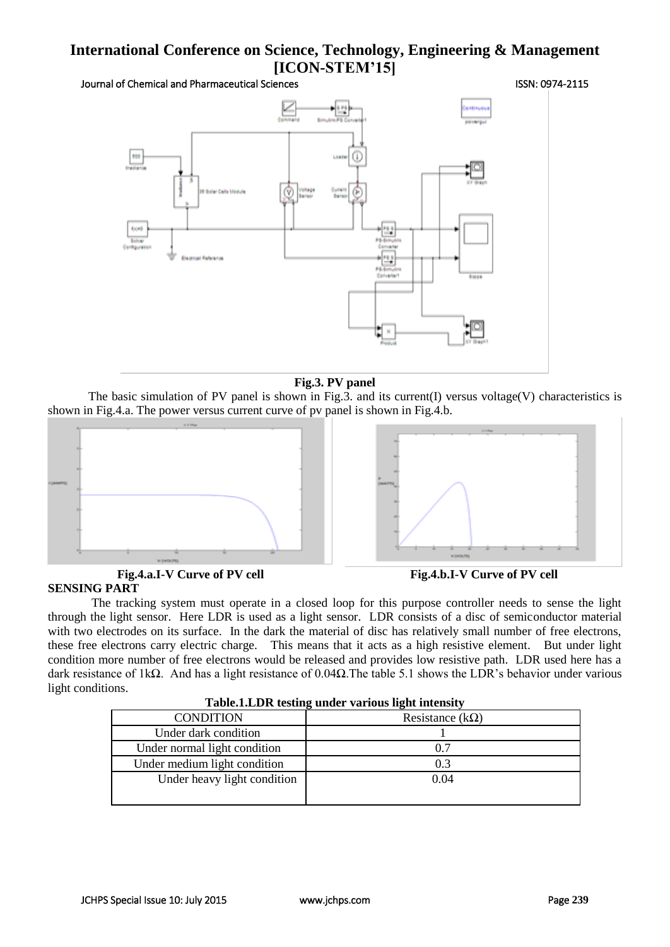Journal of Chemical and Pharmaceutical Sciences **ISSN: 0974-2115** ISSN: 0974-2115



#### **Fig.3. PV panel**

The basic simulation of PV panel is shown in Fig.3. and its current(I) versus voltage(V) characteristics is shown in Fig.4.a. The power versus current curve of pv panel is shown in Fig.4.b.



#### **Fig.4.a.I-V Curve of PV cell Fig.4.b.I-V Curve of PV cell SENSING PART**

The tracking system must operate in a closed loop for this purpose controller needs to sense the light through the light sensor. Here LDR is used as a light sensor. LDR consists of a disc of semiconductor material with two electrodes on its surface. In the dark the material of disc has relatively small number of free electrons, these free electrons carry electric charge. This means that it acts as a high resistive element. But under light condition more number of free electrons would be released and provides low resistive path. LDR used here has a dark resistance of 1kΩ. And has a light resistance of 0.04Ω. The table 5.1 shows the LDR's behavior under various light conditions.

| <b>Labic.I.LDR</b> testing under various light intensity |                        |  |  |  |
|----------------------------------------------------------|------------------------|--|--|--|
| <b>CONDITION</b>                                         | Resistance $(k\Omega)$ |  |  |  |
| Under dark condition                                     |                        |  |  |  |
| Under normal light condition                             | 0.7                    |  |  |  |
| Under medium light condition                             | 0.3                    |  |  |  |
| Under heavy light condition                              | 0.04                   |  |  |  |
|                                                          |                        |  |  |  |

| Table.1.LDR testing under various light intensity |  |  |  |
|---------------------------------------------------|--|--|--|
|                                                   |  |  |  |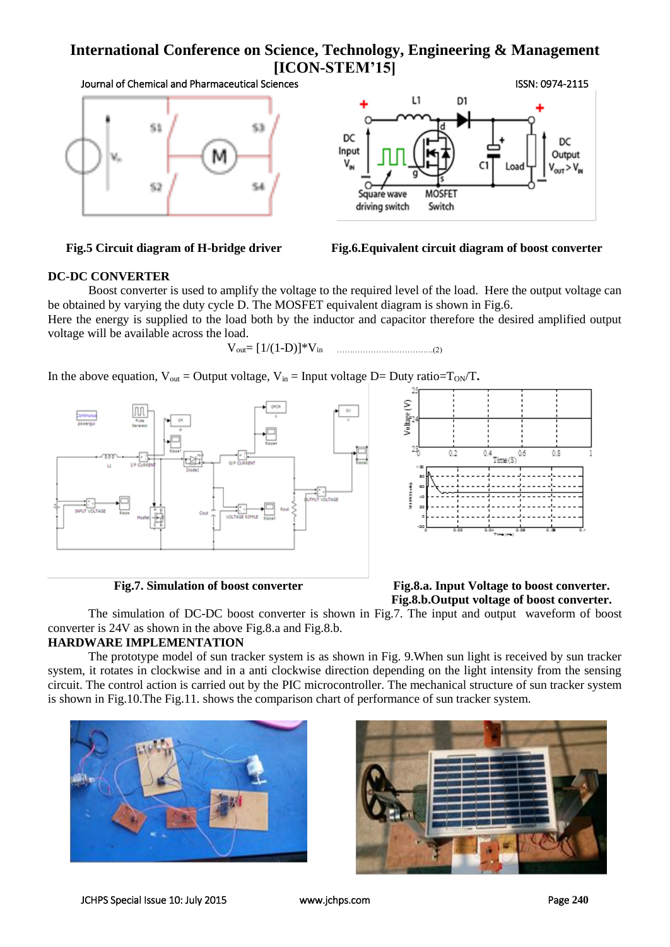Journal of Chemical and Pharmaceutical Sciences **ISSN: 0974-2115** ISSN: 0974-2115





**Fig.5 Circuit diagram of H-bridge driver Fig.6.Equivalent circuit diagram of boost converter**

### **DC-DC CONVERTER**

Boost converter is used to amplify the voltage to the required level of the load. Here the output voltage can be obtained by varying the duty cycle D. The MOSFET equivalent diagram is shown in Fig.6.

Here the energy is supplied to the load both by the inductor and capacitor therefore the desired amplified output voltage will be available across the load.

$$
V_{out} \!\!=\! \,[\,1/(1\text{-}D)]^*V_{in} \qquad \qquad \qquad \ldots \!\!\! \ldots \!\!\! \ldots \!\!\! \ldots \!\!\! \ldots \!\!\! \ldots \!\!\! \ldots \!\!\! \ldots \!\!\! \ldots \!\!\! \ldots \!\!\! \ldots \!\!\! \ldots \!\!\! \ldots \!\!\! \ldots \!\!\! \ldots \!\!\! \ldots \!\!\! \ldots \!\!\! \ldots \!\!\! \ldots \!\!\! \ldots \!\!\! \ldots \!\!\! \ldots \!\!\! \ldots \!\!\! \ldots \!\!\! \ldots \!\!\! \ldots \!\!\! \ldots \!\!\! \ldots \!\!\! \ldots \!\!\! \ldots \!\!\! \ldots \!\!\! \ldots \!\!\! \ldots \!\!\! \ldots \!\!\! \ldots \!\!\! \ldots \!\!\! \ldots \!\!\! \ldots \!\!\! \ldots \!\!\! \ldots \!\!\! \ldots \!\!\! \ldots \!\!\! \ldots \!\!\! \ldots \!\!\! \ldots \!\!\! \ldots \!\!\! \ldots \!\!\! \ldots \!\!\! \ldots \!\!\! \ldots \!\!\! \ldots \!\!\! \ldots \!\!\! \ldots \!\!\! \ldots \!\!\! \ldots \!\!\! \ldots \!\!\! \ldots \!\!\! \ldots \!\!\! \ldots \!\!\! \ldots \!\!\! \ldots \!\!\! \ldots \!\!\! \ldots \!\!\! \ldots \!\!\! \ldots \!\!\! \ldots \!\!\! \ldots \!\!\! \ldots \!\!\! \ldots \!\!\! \ldots \!\!\! \ldots \!\!\! \ldots \!\!\! \ldots \!\!\! \ldots \!\!\! \ldots \!\!\! \ldots \!\!\! \ldots \!\!\! \ldots \!\!\! \ldots \!\!\! \ldots \!\!\! \ldots \!\!\! \ldots \!\!\! \ldots \!\!\! \ldots \!\!\! \ldots \!\!\! \ldots \!\!\! \ldots \!\!\! \ldots \!\!\! \ldots \!\!\! \ldots \!\!\! \ldots \!\!\! \ldots \!\!\! \ldots \!\!\! \ldots \!\!\! \ldots \!\!\! \ldots \!\!\! \ld \!\! \ldots \!\!\! \ldots \!\!\! \ldots \!\!\! \ldots \!\!\! \ldots \!\!\! \ldots \!\!\! \ldots
$$

In the above equation,  $V_{\text{out}} =$  Output voltage,  $V_{\text{in}} =$  Input voltage D= Duty ratio=T<sub>ON</sub>/T.





### **Fig.7. Simulation of boost converter Fig.8.a. Input Voltage to boost converter. Fig.8.b.Output voltage of boost converter.**

The simulation of DC-DC boost converter is shown in Fig.7. The input and output waveform of boost converter is 24V as shown in the above Fig.8.a and Fig.8.b.

## **HARDWARE IMPLEMENTATION**

The prototype model of sun tracker system is as shown in Fig. 9.When sun light is received by sun tracker system, it rotates in clockwise and in a anti clockwise direction depending on the light intensity from the sensing circuit. The control action is carried out by the PIC microcontroller. The mechanical structure of sun tracker system is shown in Fig.10.The Fig.11. shows the comparison chart of performance of sun tracker system.